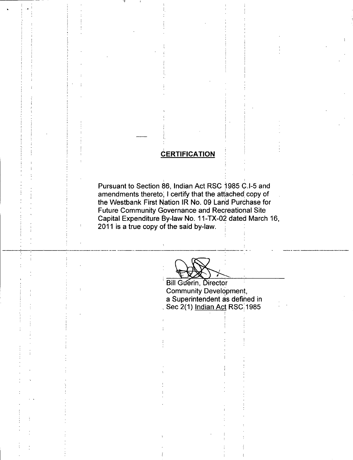### **CERTIFICATION**

Pursuant to Section 86, Indian Act RSC 1985 C.I-5 and amendments thereto, I certify that the attached: copy of the Westbank First Nation IR No. 09 Land Purchase for Future Community Governance and Recreational Site Capital Expenditure By -law No. 11 -TX -02 dated March 16, 2011 is a true copy of the said by -law.

DA

Bill Guerin, Director Community Development, a Superintendent as defined in Sec 2(1) Indian Act RSC 1985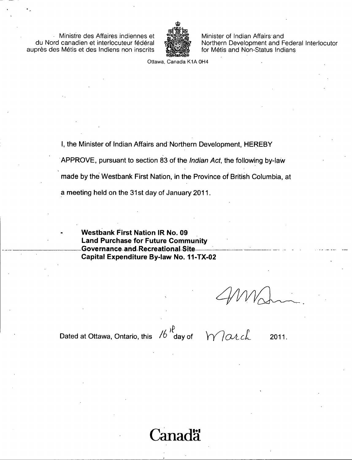Ministre des Affaires indiennes et du Nord canadien et interlocuteur federal auprès des Métis et des Indiens non inscrits



Minister of Indian Affairs and Northern Development and Federal Interlocutor for Métis and Non-Status Indians

Ottawa, Canada K1A OH4

I, the Minister of Indian Affairs and Northern Development, HEREBY

APPROVE, pursuant to section 83 of the *Indian Act*, the following by-law

made by the Westbank First Nation, in the Province of British Columbia, at

a meeting held on the 31st day of January 2011.

Westbank First Nation IR No. 09 Land Purchase for Future Community Governance-and-Recreational-Site-Capital Expenditure By-law No. 11-TX-02

Dated at Ottawa, Ontario, this  $\frac{1}{6}$  day of

 $W$ arch 2011.

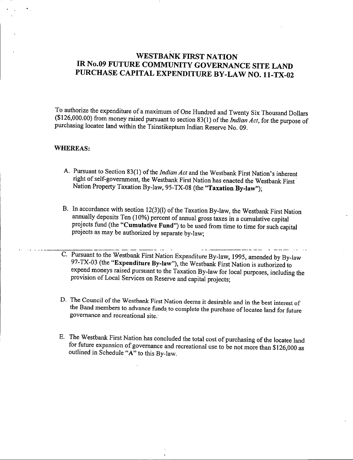## WESTBANK FIRST NATION IR No.09 FUTURE COMMUNITY GOVERNANCE SITE LAND PURCHASE CAPITAL EXPENDITURE BY -LAW NO. 11 -TX -02

To authorize the expenditure of <sup>a</sup> maximum of One Hundred and Twenty Six Thousand Dollars  $(126,000.00)$  from money raised pursuant to section 83(1) of the *Indian Act*, for the purpose of purchasing locatee land within the Tsinstikeptum Indian Reserve No. 09.

#### WHEREAS:

- A. Pursuant to Section 83(1) of the Indian Act and the Westbank First Nation's inherent right of self-government, the Westbank First Nation has enacted the Westbank First Nation Property Taxation By-law, 95-TX-08 (the "Taxation By-law");
- B. In accordance with section 12(3)(1) of the Taxation By-law, the Westbank First Nation annually deposits Ten (10%) percent of annual gross taxes in a cumulative capital projects fund (the "Cumulative Fund") to be used from time to time for such capital projects as may be authorized by separate by -law;
- C. Pursuant to the Westbank First Nation Expenditure By -law, 1995, amended by By -law 97-TX-03 (the "Expenditure By-law"), the Westbank First Nation is authorized to expend moneys raised pursuant to the Taxation By -law for local purposes, including the provision of Local Services on Reserve and capital projects;
- D. The Council of the Westbank First Nation deems it desirable and in the best interest of the Band members to advance funds to complete the purchase of locatee land for future governance and recreational site:
- E. The Westbank First Nation has concluded the total cost of purchasing of the locatee land for future expansion of governance and recreational use to be not more than  $$126,000$  as outlined in Schedule "A" to this By-law.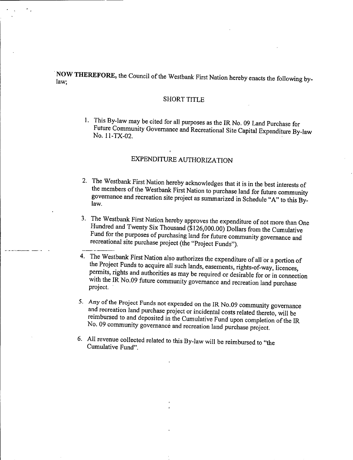NOW THEREFORE, the Council of the Westbank First Nation hereby enacts the following by-<br>law:

#### SHORT TITLE

1. This By -law may be cited for all purposes as the IR No. 09 Land Purchase for Future Community Governance and Recreational Site Capital Expenditure By-law<br>No. 11-TX-02.

### EXPENDITURE AUTHORIZATION

- 2. The Westbank First Nation hereby acknowledges that it is in the best interests of the members of the Westbank First Nation to purchase land for future community the members of the Westbank First Nation to purchase land for future community<br>governance and recreation site project as summer in the Columbus future governance and recreation site project as summarized in Schedule " A" to this By- law.
- 3. The Westbank First Nation hereby approves the expenditure of not more than One Hundred and Twenty Six Thousand (\$ 126, 000.00) Dollars from the Cumulative Fund for the purposes of purchasing land for future community governance and recreational site purchase project (the "Project Funds").
	-

4. The Westbank First Nation also authorizes the expenditure of all or <sup>a</sup> portion of the Project Funds to acquire all such lands, easements, rights-of-way, licences, permits, rights and authorities as may be required or desirable for or in connection with the IR No.09 future community governance and recreation land purchase project.

- 5. Any of the Project Funds not expended on the IR No.09 community governance and recreation land purchase project or incidental costs related thereto, will be reimbursed to and deposited in the Cumulative Fund upon completion of the IR No. 09 community governance and recreation land purchase project.
- 6. All revenue collected related to this By -law will be reimbursed to " the Cumulative Fund".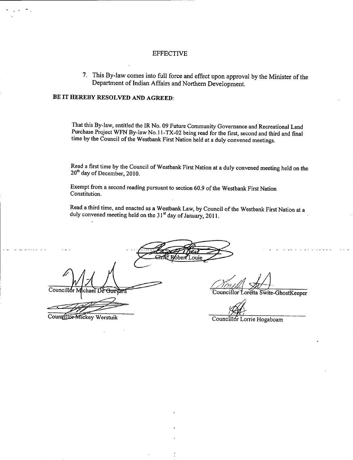#### EFFECTIVE

7. This By -law comes into full force and effect upon approval by the Minister of the Department of Indian Affairs and Northern Development.

#### BE IT HEREBY RESOLVED AND AGREED:

That this By -law, entitled the IR No. 09 Future Community Governance and Recreational Land Purchase Project WFN By -law No. 11 -TX -02 being read for the first, second and third and final time by the Council of the Westbank First Nation held at a duly convened meetings.

Read a first time by the Council of Westbank First Nation at a duly convened meeting held on the 20<sup>th</sup> day of December, 2010.

Exempt from a second reading pursuant to section 60.9 of the Westbank First Nation Constitution.

Read <sup>a</sup> third time, and enacted as <sup>a</sup> Westbank Law, by Council of the Westbank First Nation at <sup>a</sup> duly convened meeting held on the 31<sup>st</sup> day of January, 2011.

.onie

Councillor Michael De

Councillor-Mickey Werstuik

Councillor Loretta Swite-GhostKeeper

Councillor Lorrie Hogaboam